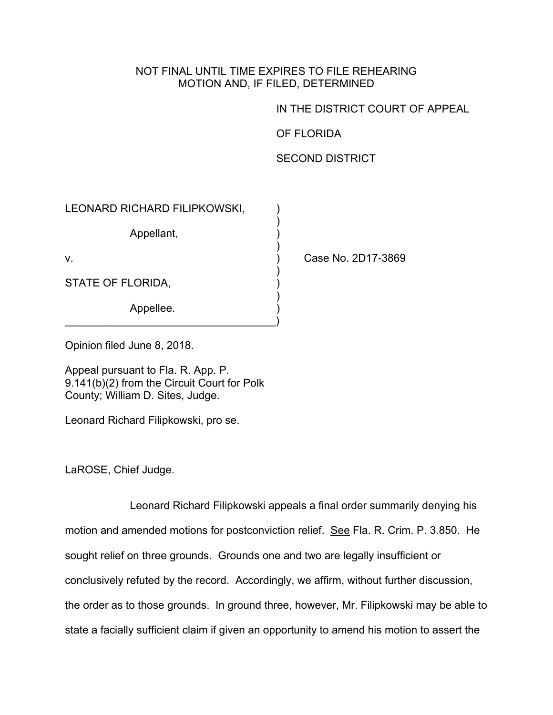## NOT FINAL UNTIL TIME EXPIRES TO FILE REHEARING MOTION AND, IF FILED, DETERMINED

## IN THE DISTRICT COURT OF APPEAL

## OF FLORIDA

## SECOND DISTRICT

| LEONARD RICHARD FILIPKOWSKI, |                    |
|------------------------------|--------------------|
| Appellant,                   |                    |
| V.                           | Case No. 2D17-3869 |
| STATE OF FLORIDA,            |                    |
| Appellee.                    |                    |

Opinion filed June 8, 2018.

Appeal pursuant to Fla. R. App. P. 9.141(b)(2) from the Circuit Court for Polk County; William D. Sites, Judge.

Leonard Richard Filipkowski, pro se.

LaROSE, Chief Judge.

Leonard Richard Filipkowski appeals a final order summarily denying his motion and amended motions for postconviction relief. See Fla. R. Crim. P. 3.850. He sought relief on three grounds. Grounds one and two are legally insufficient or conclusively refuted by the record. Accordingly, we affirm, without further discussion, the order as to those grounds. In ground three, however, Mr. Filipkowski may be able to state a facially sufficient claim if given an opportunity to amend his motion to assert the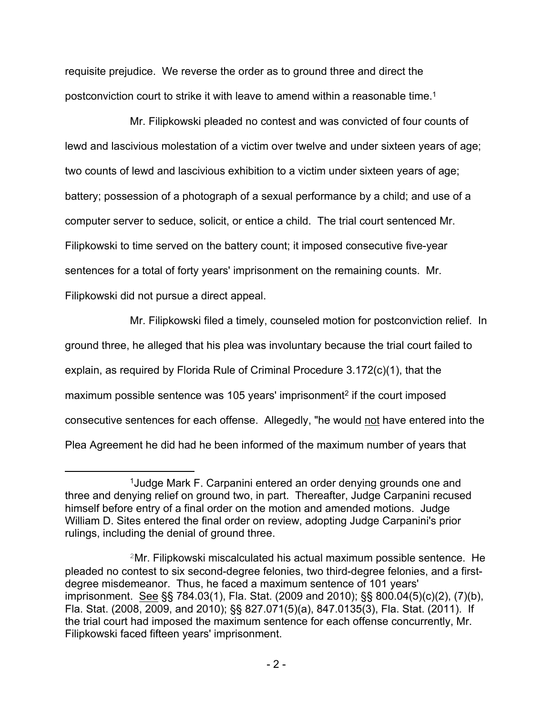requisite prejudice. We reverse the order as to ground three and direct the postconviction court to strike it with leave to amend within a reasonable time.<sup>1</sup>

Mr. Filipkowski pleaded no contest and was convicted of four counts of lewd and lascivious molestation of a victim over twelve and under sixteen years of age; two counts of lewd and lascivious exhibition to a victim under sixteen years of age; battery; possession of a photograph of a sexual performance by a child; and use of a computer server to seduce, solicit, or entice a child. The trial court sentenced Mr. Filipkowski to time served on the battery count; it imposed consecutive five-year sentences for a total of forty years' imprisonment on the remaining counts. Mr. Filipkowski did not pursue a direct appeal.

Mr. Filipkowski filed a timely, counseled motion for postconviction relief. In

ground three, he alleged that his plea was involuntary because the trial court failed to explain, as required by Florida Rule of Criminal Procedure 3.172(c)(1), that the maximum possible sentence was 105 years' imprisonment<sup>2</sup> if the court imposed consecutive sentences for each offense. Allegedly, "he would not have entered into the Plea Agreement he did had he been informed of the maximum number of years that

<sup>1</sup>Judge Mark F. Carpanini entered an order denying grounds one and three and denying relief on ground two, in part. Thereafter, Judge Carpanini recused himself before entry of a final order on the motion and amended motions. Judge William D. Sites entered the final order on review, adopting Judge Carpanini's prior rulings, including the denial of ground three.

<sup>2</sup>Mr. Filipkowski miscalculated his actual maximum possible sentence. He pleaded no contest to six second-degree felonies, two third-degree felonies, and a firstdegree misdemeanor. Thus, he faced a maximum sentence of 101 years' imprisonment. See §§ 784.03(1), Fla. Stat. (2009 and 2010); §§ 800.04(5)(c)(2), (7)(b), Fla. Stat. (2008, 2009, and 2010); §§ 827.071(5)(a), 847.0135(3), Fla. Stat. (2011). If the trial court had imposed the maximum sentence for each offense concurrently, Mr. Filipkowski faced fifteen years' imprisonment.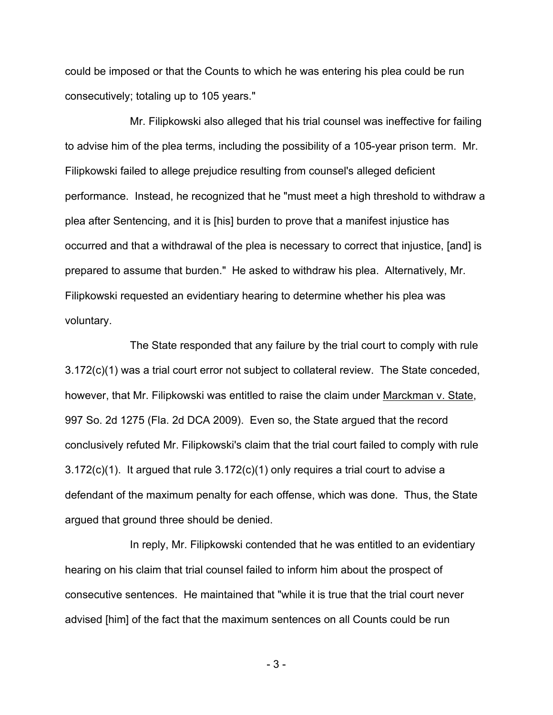could be imposed or that the Counts to which he was entering his plea could be run consecutively; totaling up to 105 years."

Mr. Filipkowski also alleged that his trial counsel was ineffective for failing to advise him of the plea terms, including the possibility of a 105-year prison term. Mr. Filipkowski failed to allege prejudice resulting from counsel's alleged deficient performance. Instead, he recognized that he "must meet a high threshold to withdraw a plea after Sentencing, and it is [his] burden to prove that a manifest injustice has occurred and that a withdrawal of the plea is necessary to correct that injustice, [and] is prepared to assume that burden." He asked to withdraw his plea. Alternatively, Mr. Filipkowski requested an evidentiary hearing to determine whether his plea was voluntary.

The State responded that any failure by the trial court to comply with rule 3.172(c)(1) was a trial court error not subject to collateral review. The State conceded, however, that Mr. Filipkowski was entitled to raise the claim under Marckman v. State, 997 So. 2d 1275 (Fla. 2d DCA 2009). Even so, the State argued that the record conclusively refuted Mr. Filipkowski's claim that the trial court failed to comply with rule 3.172(c)(1). It argued that rule 3.172(c)(1) only requires a trial court to advise a defendant of the maximum penalty for each offense, which was done. Thus, the State argued that ground three should be denied.

In reply, Mr. Filipkowski contended that he was entitled to an evidentiary hearing on his claim that trial counsel failed to inform him about the prospect of consecutive sentences. He maintained that "while it is true that the trial court never advised [him] of the fact that the maximum sentences on all Counts could be run

- 3 -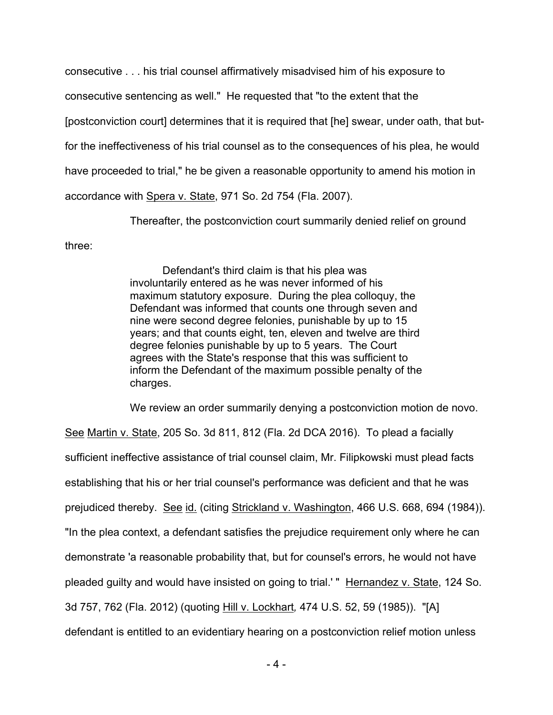consecutive . . . his trial counsel affirmatively misadvised him of his exposure to consecutive sentencing as well." He requested that "to the extent that the [postconviction court] determines that it is required that [he] swear, under oath, that butfor the ineffectiveness of his trial counsel as to the consequences of his plea, he would have proceeded to trial," he be given a reasonable opportunity to amend his motion in accordance with Spera v. State, 971 So. 2d 754 (Fla. 2007).

Thereafter, the postconviction court summarily denied relief on ground

three:

Defendant's third claim is that his plea was involuntarily entered as he was never informed of his maximum statutory exposure. During the plea colloquy, the Defendant was informed that counts one through seven and nine were second degree felonies, punishable by up to 15 years; and that counts eight, ten, eleven and twelve are third degree felonies punishable by up to 5 years. The Court agrees with the State's response that this was sufficient to inform the Defendant of the maximum possible penalty of the charges.

We review an order summarily denying a postconviction motion de novo.

See Martin v. State, 205 So. 3d 811, 812 (Fla. 2d DCA 2016). To plead a facially sufficient ineffective assistance of trial counsel claim, Mr. Filipkowski must plead facts establishing that his or her trial counsel's performance was deficient and that he was prejudiced thereby. See id. (citing Strickland v. Washington, 466 U.S. 668, 694 (1984)). "In the plea context, a defendant satisfies the prejudice requirement only where he can demonstrate 'a reasonable probability that, but for counsel's errors, he would not have pleaded guilty and would have insisted on going to trial.' " Hernandez v. State, 124 So. 3d 757, 762 (Fla. 2012) (quoting Hill v. Lockhart*,* 474 U.S. 52, 59 (1985)). "[A] defendant is entitled to an evidentiary hearing on a postconviction relief motion unless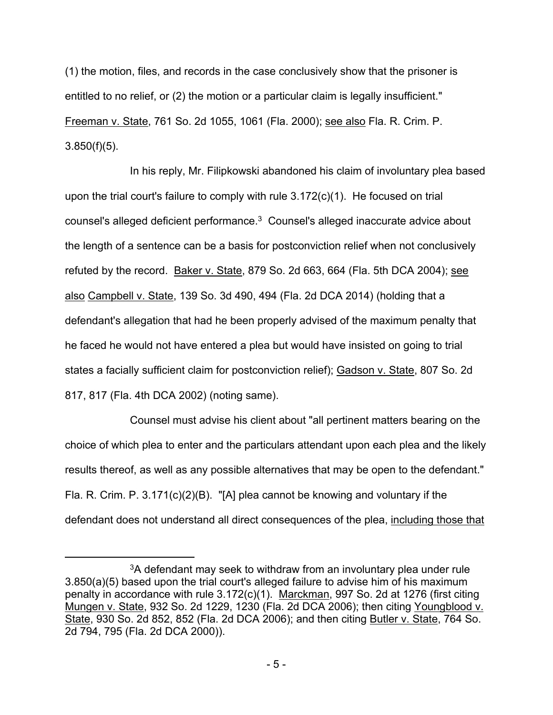(1) the motion, files, and records in the case conclusively show that the prisoner is entitled to no relief, or (2) the motion or a particular claim is legally insufficient." Freeman v. State, 761 So. 2d 1055, 1061 (Fla. 2000); see also Fla. R. Crim. P.  $3.850(f)(5)$ .

In his reply, Mr. Filipkowski abandoned his claim of involuntary plea based upon the trial court's failure to comply with rule 3.172(c)(1). He focused on trial counsel's alleged deficient performance.<sup>3</sup> Counsel's alleged inaccurate advice about the length of a sentence can be a basis for postconviction relief when not conclusively refuted by the record. Baker v. State, 879 So. 2d 663, 664 (Fla. 5th DCA 2004); see also Campbell v. State, 139 So. 3d 490, 494 (Fla. 2d DCA 2014) (holding that a defendant's allegation that had he been properly advised of the maximum penalty that he faced he would not have entered a plea but would have insisted on going to trial states a facially sufficient claim for postconviction relief); Gadson v. State, 807 So. 2d 817, 817 (Fla. 4th DCA 2002) (noting same).

Counsel must advise his client about "all pertinent matters bearing on the choice of which plea to enter and the particulars attendant upon each plea and the likely results thereof, as well as any possible alternatives that may be open to the defendant." Fla. R. Crim. P. 3.171(c)(2)(B). "[A] plea cannot be knowing and voluntary if the defendant does not understand all direct consequences of the plea, including those that

<sup>3</sup>A defendant may seek to withdraw from an involuntary plea under rule 3.850(a)(5) based upon the trial court's alleged failure to advise him of his maximum penalty in accordance with rule 3.172(c)(1). Marckman, 997 So. 2d at 1276 (first citing Mungen v. State, 932 So. 2d 1229, 1230 (Fla. 2d DCA 2006); then citing Youngblood v. State, 930 So. 2d 852, 852 (Fla. 2d DCA 2006); and then citing Butler v. State, 764 So. 2d 794, 795 (Fla. 2d DCA 2000)).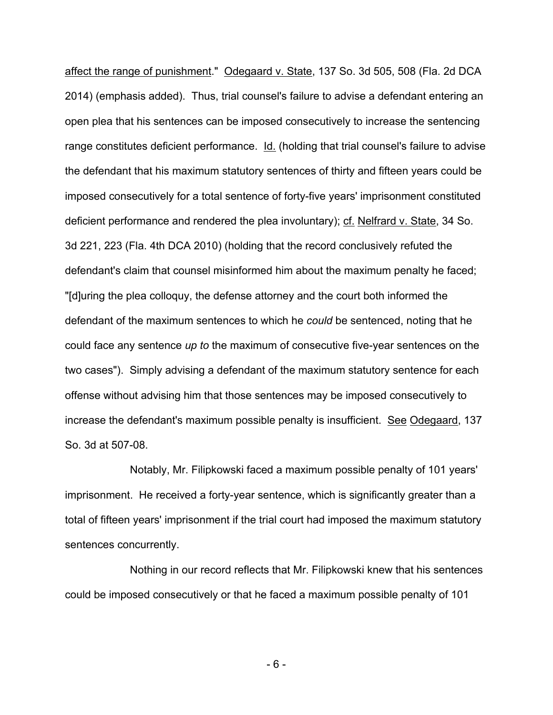affect the range of punishment." Odegaard v. State, 137 So. 3d 505, 508 (Fla. 2d DCA 2014) (emphasis added). Thus, trial counsel's failure to advise a defendant entering an open plea that his sentences can be imposed consecutively to increase the sentencing range constitutes deficient performance. Id. (holding that trial counsel's failure to advise the defendant that his maximum statutory sentences of thirty and fifteen years could be imposed consecutively for a total sentence of forty-five years' imprisonment constituted deficient performance and rendered the plea involuntary); cf. Nelfrard v. State, 34 So. 3d 221, 223 (Fla. 4th DCA 2010) (holding that the record conclusively refuted the defendant's claim that counsel misinformed him about the maximum penalty he faced; "[d]uring the plea colloquy, the defense attorney and the court both informed the defendant of the maximum sentences to which he *could* be sentenced, noting that he could face any sentence *up to* the maximum of consecutive five-year sentences on the two cases"). Simply advising a defendant of the maximum statutory sentence for each offense without advising him that those sentences may be imposed consecutively to increase the defendant's maximum possible penalty is insufficient. See Odegaard, 137 So. 3d at 507-08.

Notably, Mr. Filipkowski faced a maximum possible penalty of 101 years' imprisonment. He received a forty-year sentence, which is significantly greater than a total of fifteen years' imprisonment if the trial court had imposed the maximum statutory sentences concurrently.

Nothing in our record reflects that Mr. Filipkowski knew that his sentences could be imposed consecutively or that he faced a maximum possible penalty of 101

- 6 -